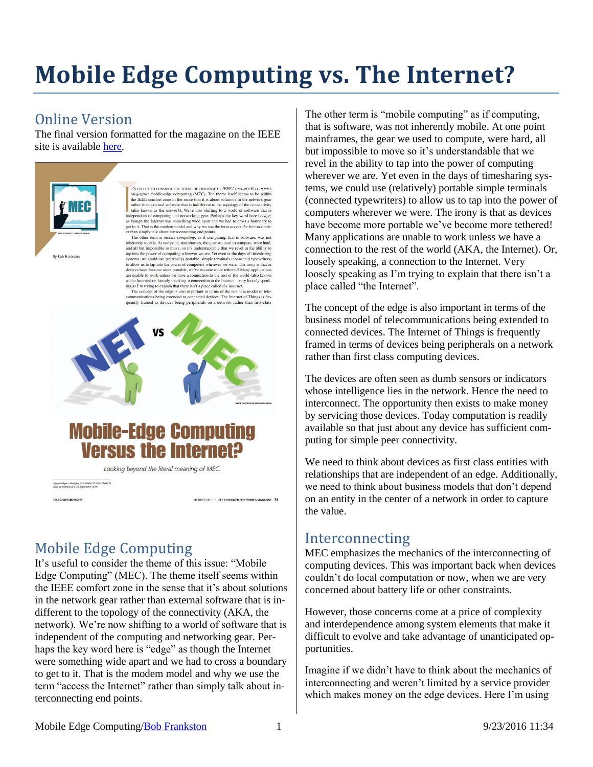# **Mobile Edge Computing vs. The Internet?**

### Online Version

The final version formatted for the magazine on the IEEE site is available [here.](http://ieeexplore.ieee.org/stamp/stamp.jsp?tp=&arnumber=7574426)



T'S USEFUL TO CONSIDER THE THEME OF THIS ISSUE OF JEEF CONSUMER ELECTRONIC T's Ustrut, To constant THE means or THE ISSUE of PIEE CONSTAIRE EXCEPTIONCE Magnetine: mobile-edge computing (MEC). The theme itself seems to be within the IEEE comfort zone in the sense that it is about solutions in the

get to it. That is the modem model and why we use the term *access the Internet* rather or the mixely this content energy of points, the solution in the observation in the observation in the observation in the observation to allow us to tap into the power of computers wherever we were. The irony is that as<br>devices have become more portable, we've become more tethered! Many applications are unable to work unless we have a connection to the rest of the world (also known

are unable to work unless we have a connection to the rest of the workid dash comes as the Internet) or, loosely speaking, a connection to the Internet—very loosely speaking as I'm trying to explain that there is n't a pl

OCTOBER 2016 A IEEE CONSUMER ELECTRONICS MAGAZINE 75



# **Mobile-Edge Computing Versus the Internet?**

Looking beyond the literal meaning of MEC.

-<br>Digital Object Identifier 10.1109/MCE.2016.2590158

2162-2248/1602016EEE

# Mobile Edge Computing

It's useful to consider the theme of this issue: "Mobile Edge Computing" (MEC). The theme itself seems within the IEEE comfort zone in the sense that it's about solutions in the network gear rather than external software that is indifferent to the topology of the connectivity (AKA, the network). We're now shifting to a world of software that is independent of the computing and networking gear. Perhaps the key word here is "edge" as though the Internet were something wide apart and we had to cross a boundary to get to it. That is the modem model and why we use the term "access the Internet" rather than simply talk about interconnecting end points.

The other term is "mobile computing" as if computing, that is software, was not inherently mobile. At one point mainframes, the gear we used to compute, were hard, all but impossible to move so it's understandable that we revel in the ability to tap into the power of computing wherever we are. Yet even in the days of timesharing systems, we could use (relatively) portable simple terminals (connected typewriters) to allow us to tap into the power of computers wherever we were. The irony is that as devices have become more portable we've become more tethered! Many applications are unable to work unless we have a connection to the rest of the world (AKA, the Internet). Or, loosely speaking, a connection to the Internet. Very loosely speaking as I'm trying to explain that there isn't a place called "the Internet".

The concept of the edge is also important in terms of the business model of telecommunications being extended to connected devices. The Internet of Things is frequently framed in terms of devices being peripherals on a network rather than first class computing devices.

The devices are often seen as dumb sensors or indicators whose intelligence lies in the network. Hence the need to interconnect. The opportunity then exists to make money by servicing those devices. Today computation is readily available so that just about any device has sufficient computing for simple peer connectivity.

We need to think about devices as first class entities with relationships that are independent of an edge. Additionally, we need to think about business models that don't depend on an entity in the center of a network in order to capture the value.

#### Interconnecting

MEC emphasizes the mechanics of the interconnecting of computing devices. This was important back when devices couldn't do local computation or now, when we are very concerned about battery life or other constraints.

However, those concerns come at a price of complexity and interdependence among system elements that make it difficult to evolve and take advantage of unanticipated opportunities.

Imagine if we didn't have to think about the mechanics of interconnecting and weren't limited by a service provider which makes money on the edge devices. Here I'm using